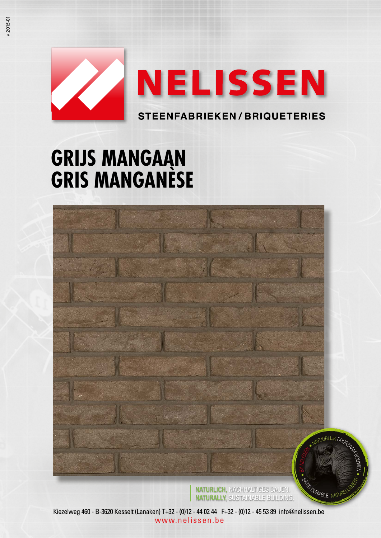

# **GRIJS MANGAAN GRIS MANGANÈSE**



NATURLICH, NACHHALTIGES BAUEN. NATURALLY, SUSTAINABLE BUILDING. **OURABLE, NAT** 

Kiezelweg 460 - B-3620 Kesselt (Lanaken) T+32 - (0)12 - 44 02 44 F+32 - (0)12 - 45 53 89 info@nelissen.be www.nelissen.be